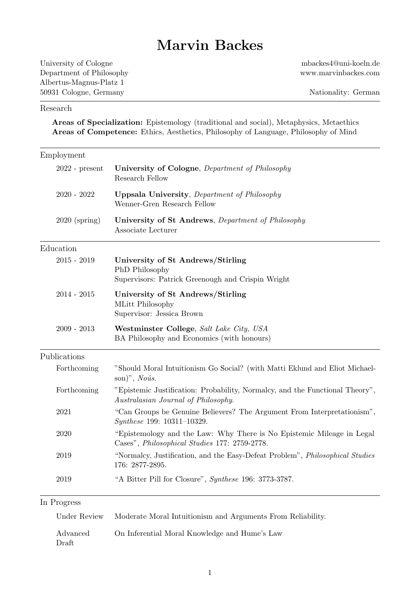# Marvin Backes

University of Cologne Department of Philosophy Albertus-Magnus-Platz 1 50931 Cologne, Germany

mbackes4@uni-koeln.de www.marvinbackes.com

#### Research

Areas of Specialization: Epistemology (traditional and social), Metaphysics, Metaethics Areas of Competence: Ethics, Aesthetics, Philosophy of Language, Philosophy of Mind

| Employment                               |                                                                                                                        |
|------------------------------------------|------------------------------------------------------------------------------------------------------------------------|
| $2022$ - $\ensuremath{\mathsf{present}}$ | University of Cologne, Department of Philosophy<br>Research Fellow                                                     |
| $2020 - 2022$                            | <b>Uppsala University</b> , Department of Philosophy<br>Wenner-Gren Research Fellow                                    |
| $2020$ (spring)                          | University of St Andrews, Department of Philosophy<br>Associate Lecturer                                               |
| Education                                |                                                                                                                        |
| $2015 - 2019$                            | University of St Andrews/Stirling<br>PhD Philosophy<br>Supervisors: Patrick Greenough and Crispin Wright               |
| $2014 - 2015$                            | University of St Andrews/Stirling<br>MLitt Philosophy<br>Supervisor: Jessica Brown                                     |
| $2009 - 2013$                            | Westminster College, Salt Lake City, USA<br>BA Philosophy and Economics (with honours)                                 |
| Publications                             |                                                                                                                        |
| Forthcoming                              | "Should Moral Intuitionism Go Social? (with Matti Eklund and Eliot Michael-<br>son)", $No\hat{u}s$ .                   |
| Forthcoming                              | "Epistemic Justification: Probability, Normalcy, and the Functional Theory",<br>Australasian Journal of Philosophy.    |
| 2021                                     | "Can Groups be Genuine Believers? The Argument From Interpretationism",<br>Synthese 199: 10311-10329.                  |
| 2020                                     | "Epistemology and the Law: Why There is No Epistemic Mileage in Legal<br>Cases", Philosophical Studies 177: 2759-2778. |
| 2019                                     | "Normalcy, Justification, and the Easy-Defeat Problem", Philosophical Studies<br>176: 2877-2895.                       |
| 2019                                     | "A Bitter Pill for Closure", Synthese 196: 3773-3787.                                                                  |

#### In Progress

| Under Review | Moderate Moral Intuitionism and Arguments From Reliability. |
|--------------|-------------------------------------------------------------|
| Advanced     | On Inferential Moral Knowledge and Hume's Law               |
| Draft        |                                                             |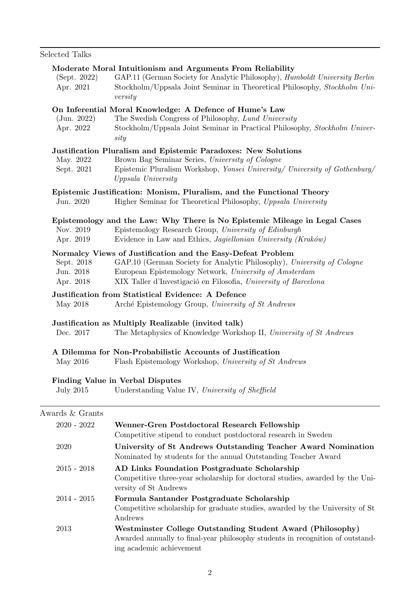## Selected Talks

| (Sept. 2022)<br>Apr. 2021            | Moderate Moral Intuitionism and Arguments From Reliability<br>GAP.11 (German Society for Analytic Philosophy), <i>Humboldt University Berlin</i><br>Stockholm/Uppsala Joint Seminar in Theoretical Philosophy, Stockholm Uni-<br>versity                           |
|--------------------------------------|--------------------------------------------------------------------------------------------------------------------------------------------------------------------------------------------------------------------------------------------------------------------|
| (Jun. 2022)<br>Apr. 2022             | On Inferential Moral Knowledge: A Defence of Hume's Law<br>The Swedish Congress of Philosophy, Lund University<br>Stockholm/Uppsala Joint Seminar in Practical Philosophy, Stockholm Univer-<br>sity                                                               |
| May. 2022<br>Sept. 2021              | Justification Pluralism and Epistemic Paradoxes: New Solutions<br>Brown Bag Seminar Series, University of Cologne<br>Epistemic Pluralism Workshop, Yonsei University/ University of Gothenburg/<br>Uppsala University                                              |
|                                      | Epistemic Justification: Monism, Pluralism, and the Functional Theory                                                                                                                                                                                              |
| Jun. 2020                            | Higher Seminar for Theoretical Philosophy, Uppsala University                                                                                                                                                                                                      |
| Nov. 2019<br>Apr. 2019               | Epistemology and the Law: Why There is No Epistemic Mileage in Legal Cases<br>Epistemology Research Group, University of Edinburgh<br>Evidence in Law and Ethics, <i>Jagiellonian University (Kraków)</i>                                                          |
| Sept. 2018<br>Jun. 2018<br>Apr. 2018 | Normalcy Views of Justification and the Easy-Defeat Problem<br>GAP.10 (German Society for Analytic Philosophy), University of Cologne<br>European Epistemology Network, University of Amsterdam<br>XIX Taller d'Investigació en Filosofia, University of Barcelona |
|                                      | Justification from Statistical Evidence: A Defence                                                                                                                                                                                                                 |
| May 2018                             | Arché Epistemology Group, University of St Andrews                                                                                                                                                                                                                 |
| Dec. 2017                            | Justification as Multiply Realizable (invited talk)<br>The Metaphysics of Knowledge Workshop II, University of St Andrews                                                                                                                                          |
| May 2016                             | A Dilemma for Non-Probabilistic Accounts of Justification<br>Flash Epistemology Workshop, University of St Andrews                                                                                                                                                 |
| <b>July 2015</b>                     | <b>Finding Value in Verbal Disputes</b><br>Understanding Value IV, University of Sheffield                                                                                                                                                                         |
| Awards & Grants                      |                                                                                                                                                                                                                                                                    |
| $2020 - 2022$                        | Wenner-Gren Postdoctoral Research Fellowship<br>Competitive stipend to conduct postdoctoral research in Sweden                                                                                                                                                     |
| 2020                                 | University of St Andrews Outstanding Teacher Award Nomination<br>Nominated by students for the annual Outstanding Teacher Award                                                                                                                                    |
| $2015 - 2018$                        | AD Links Foundation Postgraduate Scholarship<br>Competitive three-year scholarship for doctoral studies, awarded by the Uni-<br>versity of St Andrews                                                                                                              |
| $2014 - 2015$                        | Formula Santander Postgraduate Scholarship<br>Competitive scholarship for graduate studies, awarded by the University of St<br>Andrews                                                                                                                             |
| 2013                                 | Westminster College Outstanding Student Award (Philosophy)<br>Awarded annually to final-year philosophy students in recognition of outstand-<br>ing academic achievement                                                                                           |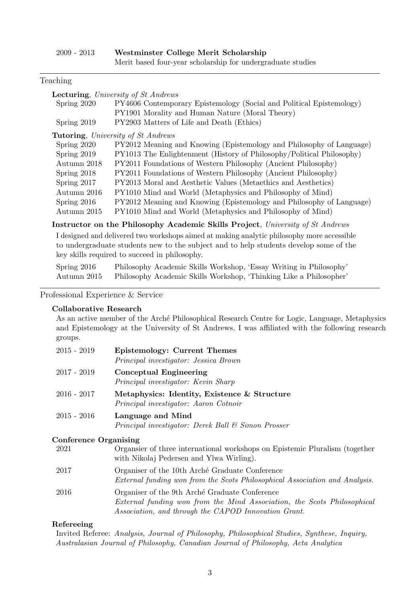| $2009$ - $2013$ | Westminster College Merit Scholarship                       |
|-----------------|-------------------------------------------------------------|
|                 | Merit based four-year scholarship for undergraduate studies |

#### Teaching

| <b>Lecturing</b> , University of St Andrews                                                |                                                                       |
|--------------------------------------------------------------------------------------------|-----------------------------------------------------------------------|
| Spring 2020                                                                                | PY4606 Contemporary Epistemology (Social and Political Epistemology)  |
|                                                                                            | PY1901 Morality and Human Nature (Moral Theory)                       |
| Spring 2019                                                                                | PY2903 Matters of Life and Death (Ethics)                             |
|                                                                                            | <b>Tutoring</b> , University of St Andrews                            |
| Spring 2020                                                                                | PY2012 Meaning and Knowing (Epistemology and Philosophy of Language)  |
| Spring 2019                                                                                | PY1013 The Enlightenment (History of Philosophy/Political Philosophy) |
| Autumn 2018                                                                                | PY2011 Foundations of Western Philosophy (Ancient Philosophy)         |
| Spring 2018                                                                                | PY2011 Foundations of Western Philosophy (Ancient Philosophy)         |
| Spring 2017                                                                                | PY2013 Moral and Aesthetic Values (Metaethics and Aesthetics)         |
| Autumn 2016                                                                                | PY1010 Mind and World (Metaphysics and Philosophy of Mind)            |
| Spring $2016$                                                                              | PY2012 Meaning and Knowing (Epistemology and Philosophy of Language)  |
| Autumn 2015                                                                                | PY1010 Mind and World (Metaphysics and Philosophy of Mind)            |
| Instructor on the Philosophy Academic Skills Project, University of St Andrews             |                                                                       |
| I designed and delivered two workshops aimed at making analytic philosophy more accessible |                                                                       |
| to undergraduate students new to the subject and to help students develop some of the      |                                                                       |
| key skills required to succeed in philosophy.                                              |                                                                       |
| Spring $2016$                                                                              | Philosophy Academic Skills Workshop, 'Essay Writing in Philosophy'    |

Autumn 2015 Philosophy Academic Skills Workshop, 'Thinking Like a Philosopher'

Professional Experience & Service

#### Collaborative Research

As an active member of the Arché Philosophical Research Centre for Logic, Language, Metaphysics and Epistemology at the University of St Andrews, I was affiliated with the following research groups.

| $2015 - 2019$ | <b>Epistemology: Current Themes</b><br>Principal investigator: Jessica Brown          |
|---------------|---------------------------------------------------------------------------------------|
| $2017 - 2019$ | Conceptual Engineering<br>Principal investigator: Kevin Sharp                         |
| $2016 - 2017$ | Metaphysics: Identity, Existence & Structure<br>Principal investigator: Aaron Cotnoir |
| $2015 - 2016$ | Language and Mind<br>Principal investigator: Derek Ball & Simon Prosser               |

#### Conference Organising

| 2021 | Organister of three international workshops on Epistemic Pluralism (together<br>with Nikolaj Pedersen and Ylwa Wirling).                                                          |
|------|-----------------------------------------------------------------------------------------------------------------------------------------------------------------------------------|
| 2017 | Organiser of the 10th Arché Graduate Conference<br>External funding won from the Scots Philosophical Association and Analysis.                                                    |
| 2016 | Organiser of the 9th Arché Graduate Conference<br>External funding won from the Mind Association, the Scots Philosophical<br>Association, and through the CAPOD Innovation Grant. |

## Refereeing

Invited Referee: Analysis, Journal of Philosophy, Philosophical Studies, Synthese, Inquiry, Australasian Journal of Philosophy, Canadian Journal of Philosophy, Acta Analytica